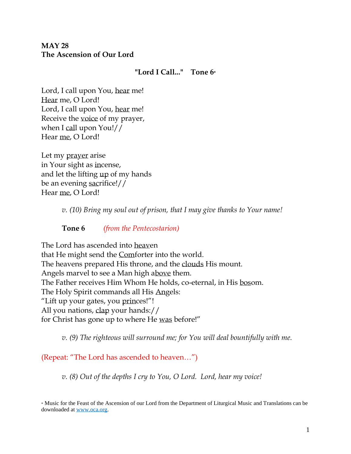# **MAY 28 The Ascension of Our Lord**

#### **"Lord I Call..." Tone 6\***

Lord, I call upon You, hear me! Hear me, O Lord! Lord, I call upon You, hear me! Receive the voice of my prayer, when I call upon You!// Hear me, O Lord!

Let my prayer arise in Your sight as incense, and let the lifting up of my hands be an evening sacrifice!// Hear me, O Lord!

*v. (10) Bring my soul out of prison, that I may give thanks to Your name!* 

**Tone 6** *(from the Pentecostarion)*

The Lord has ascended into heaven that He might send the Comforter into the world. The heavens prepared His throne, and the clouds His mount. Angels marvel to see a Man high above them. The Father receives Him Whom He holds, co-eternal, in His bosom. The Holy Spirit commands all His Angels: "Lift up your gates, you princes!"! All you nations, clap your hands:// for Christ has gone up to where He was before!"

*v. (9) The righteous will surround me; for You will deal bountifully with me.* 

(Repeat: "The Lord has ascended to heaven…")

*v. (8) Out of the depths I cry to You, O Lord. Lord, hear my voice!* 

\* Music for the Feast of the Ascension of our Lord from the Department of Liturgical Music and Translations can be downloaded at [www.oca.org.](file:///C:/Users/Phillip/Documents/5.%20OCA%20Chancery/1.%20Department%20of%20Liturgical%20Music/6.%20New%20Packets%20beginning%2002-2020/2020-05%20Services/www.oca.org)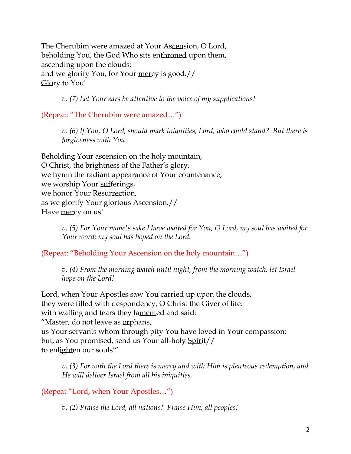The Cherubim were amazed at Your Ascension, O Lord, beholding You, the God Who sits enthroned upon them, ascending upon the clouds; and we glorify You, for Your mercy is good.// Glory to You!

*v. (7) Let Your ears be attentive to the voice of my supplications!*

(Repeat: "The Cherubim were amazed…")

*v. (6) If You, O Lord, should mark iniquities, Lord, who could stand? But there is forgiveness with You.* 

Beholding Your ascension on the holy mountain, O Christ, the brightness of the Father's glory, we hymn the radiant appearance of Your countenance; we worship Your sufferings, we honor Your Resurrection, as we glorify Your glorious Ascension.// Have mercy on us!

> *v. (5) For Your name's sake I have waited for You, O Lord, my soul has waited for Your word; my soul has hoped on the Lord.*

(Repeat: "Beholding Your Ascension on the holy mountain…")

*v.* (4) From the morning watch until night, from the morning watch, let Israel *hope on the Lord!* 

Lord, when Your Apostles saw You carried up upon the clouds, they were filled with despondency, O Christ the Giver of life: with wailing and tears they lamented and said: "Master, do not leave as orphans, us Your servants whom through pity You have loved in Your compassion; but, as You promised, send us Your all-holy Spirit// to enlighten our souls!"

*v. (3) For with the Lord there is mercy and with Him is plenteous redemption, and He will deliver Israel from all his iniquities.*

(Repeat "Lord, when Your Apostles…")

*v. (2) Praise the Lord, all nations! Praise Him, all peoples!*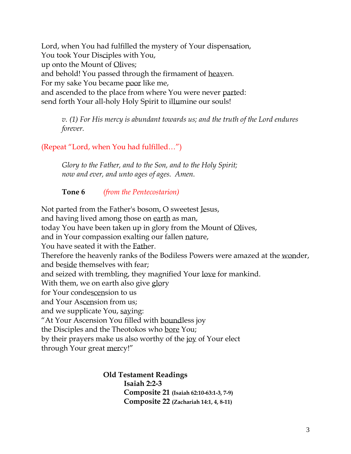Lord, when You had fulfilled the mystery of Your dispensation, You took Your Disciples with You, up onto the Mount of Olives; and behold! You passed through the firmament of heaven. For my sake You became poor like me, and ascended to the place from where You were never parted: send forth Your all-holy Holy Spirit to illumine our souls!

*v. (1) For His mercy is abundant towards us; and the truth of the Lord endures forever.* 

(Repeat "Lord, when You had fulfilled…")

*Glory to the Father, and to the Son, and to the Holy Spirit; now and ever, and unto ages of ages. Amen.* 

**Tone 6** *(from the Pentecostarion)*

Not parted from the Father's bosom, O sweetest Jesus, and having lived among those on earth as man, today You have been taken up in glory from the Mount of Olives, and in Your compassion exalting our fallen nature, You have seated it with the Father. Therefore the heavenly ranks of the Bodiless Powers were amazed at the wonder, and beside themselves with fear; and seized with trembling, they magnified Your love for mankind. With them, we on earth also give glory for Your condescension to us and Your Ascension from us; and we supplicate You, saying: "At Your Ascension You filled with boundless joy the Disciples and the Theotokos who bore You; by their prayers make us also worthy of the joy of Your elect through Your great mercy!"

> **Old Testament Readings Isaiah 2:2-3 Composite 21 (Isaiah 62:10-63:1-3, 7-9) Composite 22 (Zachariah 14:1, 4, 8-11)**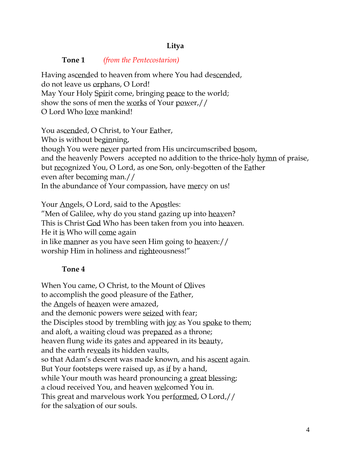# **Litya**

**Tone 1** *(from the Pentecostarion)*

Having ascended to heaven from where You had descended, do not leave us orphans, O Lord! May Your Holy Spirit come, bringing peace to the world; show the sons of men the works of Your power,// O Lord Who love mankind!

You ascended, O Christ, to Your Father, Who is without beginning, though You were never parted from His uncircumscribed bosom, and the heavenly Powers accepted no addition to the thrice-holy hymn of praise, but recognized You, O Lord, as one Son, only-begotten of the Father even after becoming man.// In the abundance of Your compassion, have mercy on us!

Your Angels, O Lord, said to the Apostles: "Men of Galilee, why do you stand gazing up into heaven? This is Christ God Who has been taken from you into heaven. He it is Who will come again in like manner as you have seen Him going to heaven:// worship Him in holiness and righteousness!"

# **Tone 4**

When You came, O Christ, to the Mount of Olives to accomplish the good pleasure of the Father, the Angels of heaven were amazed, and the demonic powers were seized with fear; the Disciples stood by trembling with joy as You spoke to them; and aloft, a waiting cloud was prepared as a throne; heaven flung wide its gates and appeared in its beauty, and the earth reveals its hidden vaults, so that Adam's descent was made known, and his ascent again. But Your footsteps were raised up, as if by a hand, while Your mouth was heard pronouncing a great blessing; a cloud received You, and heaven welcomed You in. This great and marvelous work You performed, O Lord,// for the salvation of our souls.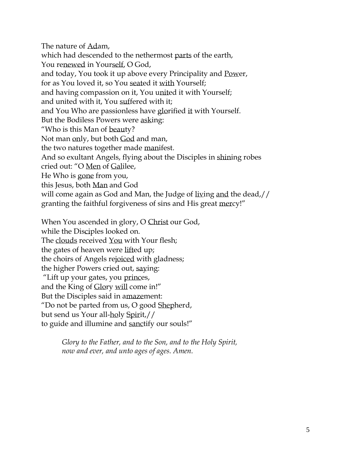The nature of Adam, which had descended to the nethermost parts of the earth, You renewed in Yourself, O God, and today, You took it up above every Principality and Power, for as You loved it, so You seated it with Yourself; and having compassion on it, You united it with Yourself; and united with it, You suffered with it; and You Who are passionless have glorified it with Yourself. But the Bodiless Powers were asking: "Who is this Man of beauty? Not man only, but both God and man, the two natures together made manifest. And so exultant Angels, flying about the Disciples in shining robes cried out: "O Men of Galilee, He Who is gone from you, this Jesus, both Man and God will come again as God and Man, the Judge of living and the dead,// granting the faithful forgiveness of sins and His great mercy!" When You ascended in glory, O Christ our God,

while the Disciples looked on. The clouds received You with Your flesh; the gates of heaven were lifted up; the choirs of Angels rejoiced with gladness; the higher Powers cried out, saying: "Lift up your gates, you princes, and the King of Glory will come in!" But the Disciples said in amazement: "Do not be parted from us, O good Shepherd, but send us Your all-holy Spirit,// to guide and illumine and sanctify our souls!"

> *Glory to the Father, and to the Son, and to the Holy Spirit, now and ever, and unto ages of ages. Amen.*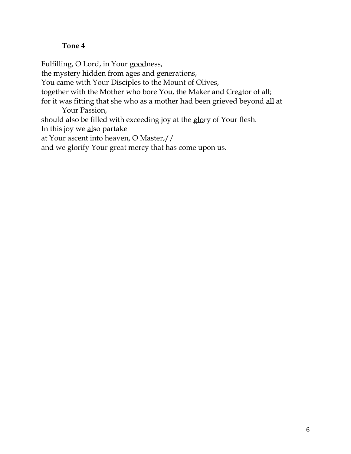## **Tone 4**

Fulfilling, O Lord, in Your goodness, the mystery hidden from ages and generations, You came with Your Disciples to the Mount of Olives, together with the Mother who bore You, the Maker and Creator of all; for it was fitting that she who as a mother had been grieved beyond all at Your Passion, should also be filled with exceeding joy at the glory of Your flesh. In this joy we also partake at Your ascent into heaven, O Master,// and we glorify Your great mercy that has come upon us.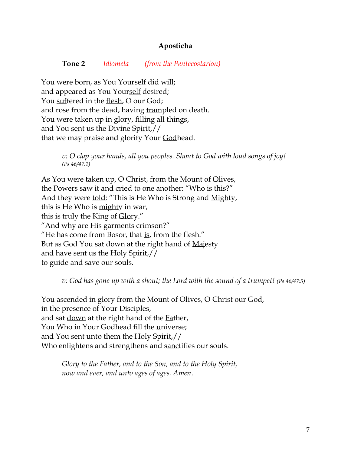#### **Aposticha**

#### **Tone 2** *Idiomela (from the Pentecostarion)*

You were born, as You Yourself did will; and appeared as You Yourself desired; You suffered in the flesh, O our God; and rose from the dead, having trampled on death. You were taken up in glory, filling all things, and You sent us the Divine Spirit,// that we may praise and glorify Your Godhead.

> *v: O clap your hands, all you peoples. Shout to God with loud songs of joy! (Ps 46/47:1)*

As You were taken up, O Christ, from the Mount of Olives, the Powers saw it and cried to one another: "Who is this?" And they were told: "This is He Who is Strong and Mighty, this is He Who is mighty in war, this is truly the King of Glory." "And why are His garments crimson?" "He has come from Bosor, that is, from the flesh." But as God You sat down at the right hand of Majesty and have sent us the Holy Spirit,// to guide and save our souls.

*v: God has gone up with a shout; the Lord with the sound of a trumpet! (Ps 46/47:5)*

You ascended in glory from the Mount of Olives, O Christ our God, in the presence of Your Disciples, and sat down at the right hand of the Father, You Who in Your Godhead fill the universe; and You sent unto them the Holy Spirit,// Who enlightens and strengthens and sanctifies our souls.

*Glory to the Father, and to the Son, and to the Holy Spirit, now and ever, and unto ages of ages. Amen*.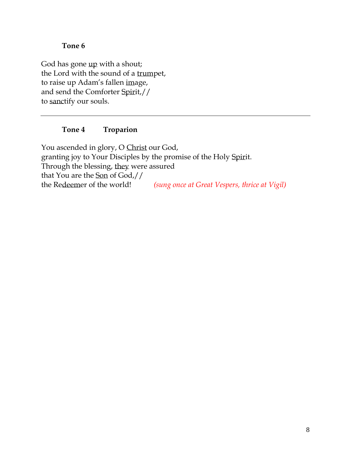#### **Tone 6**

God has gone up with a shout; the Lord with the sound of a trumpet, to raise up Adam's fallen image, and send the Comforter Spirit,// to sanctify our souls.

### **Tone 4 Troparion**

You ascended in glory, O Christ our God, granting joy to Your Disciples by the promise of the Holy Spirit. Through the blessing, they were assured that You are the Son of God,// the Redeemer of the world! *(sung once at Great Vespers, thrice at Vigil)*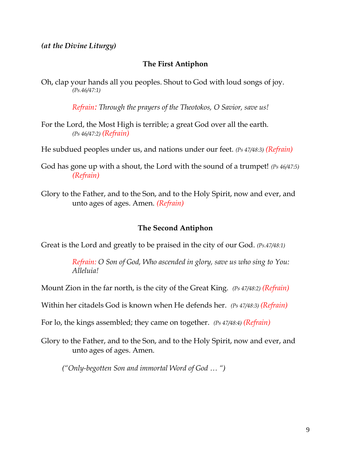*(at the Divine Liturgy)*

### **The First Antiphon**

Oh, clap your hands all you peoples. Shout to God with loud songs of joy. *(Ps.46/47:1)*

*Refrain: Through the prayers of the Theotokos, O Savior, save us!*

For the Lord, the Most High is terrible; a great God over all the earth. *(Ps 46/47:2) (Refrain)*

He subdued peoples under us, and nations under our feet. *(Ps 47/48:3) (Refrain)*

God has gone up with a shout, the Lord with the sound of a trumpet! *(Ps 46/47:5) (Refrain)*

Glory to the Father, and to the Son, and to the Holy Spirit, now and ever, and unto ages of ages. Amen. *(Refrain)*

#### **The Second Antiphon**

Great is the Lord and greatly to be praised in the city of our God. *(Ps.47/48:1)*

*Refrain: O Son of God, Who ascended in glory, save us who sing to You: Alleluia!*

Mount Zion in the far north, is the city of the Great King. *(Ps 47/48:2) (Refrain)*

Within her citadels God is known when He defends her. *(Ps 47/48:3) (Refrain)*

For lo, the kings assembled; they came on together. *(Ps 47/48:4) (Refrain)*

Glory to the Father, and to the Son, and to the Holy Spirit, now and ever, and unto ages of ages. Amen.

*("Only-begotten Son and immortal Word of God … ")*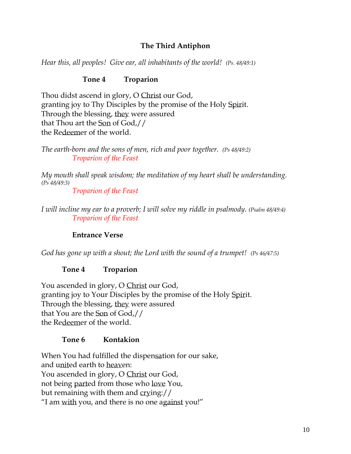# **The Third Antiphon**

*Hear this, all peoples! Give ear, all inhabitants of the world! (Ps. 48/49:1)* 

# **Tone 4 Troparion**

Thou didst ascend in glory, O Christ our God, granting joy to Thy Disciples by the promise of the Holy Spirit. Through the blessing, they were assured that Thou art the Son of God,// the Redeemer of the world.

*The earth-born and the sons of men, rich and poor together. (Ps 48/49:2) Troparion of the Feast*

*My mouth shall speak wisdom; the meditation of my heart shall be understanding. (Ps 48/49:3)*

*Troparion of the Feast*

*I will incline my ear to a proverb; I will solve my riddle in psalmody. (Psalm 48/49:4) Troparion of the Feast*

# **Entrance Verse**

*God has gone up with a shout; the Lord with the sound of a trumpet! (Ps 46/47:5)*

# **Tone 4 Troparion**

You ascended in glory, O Christ our God, granting joy to Your Disciples by the promise of the Holy Spirit. Through the blessing, they were assured that You are the Son of God,// the Redeemer of the world.

# **Tone 6 Kontakion**

When You had fulfilled the dispensation for our sake, and united earth to heaven: You ascended in glory, O Christ our God, not being parted from those who love You, but remaining with them and crying:// "I am with you, and there is no one against you!"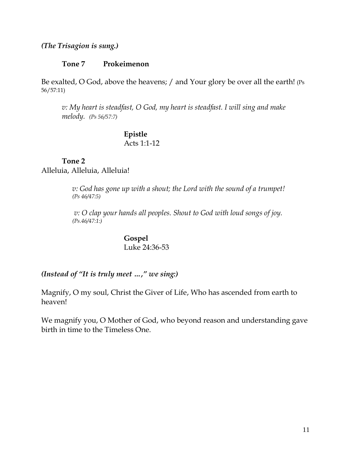#### *(The Trisagion is sung.)*

#### **Tone 7 Prokeimenon**

Be exalted, O God, above the heavens; / and Your glory be over all the earth! (Ps 56/57:11)

*v: My heart is steadfast, O God, my heart is steadfast. I will sing and make melody. (Ps 56/57:7)*

#### **Epistle** Acts 1:1-12

## **Tone 2** Alleluia, Alleluia, Alleluia!

*v: God has gone up with a shout; the Lord with the sound of a trumpet! (Ps 46/47:5)*

*v: O clap your hands all peoples. Shout to God with loud songs of joy. (Ps.46/47:1:)*

> **Gospel** Luke 24:36-53

#### *(Instead of "It is truly meet …," we sing:)*

Magnify, O my soul, Christ the Giver of Life, Who has ascended from earth to heaven!

We magnify you, O Mother of God, who beyond reason and understanding gave birth in time to the Timeless One.